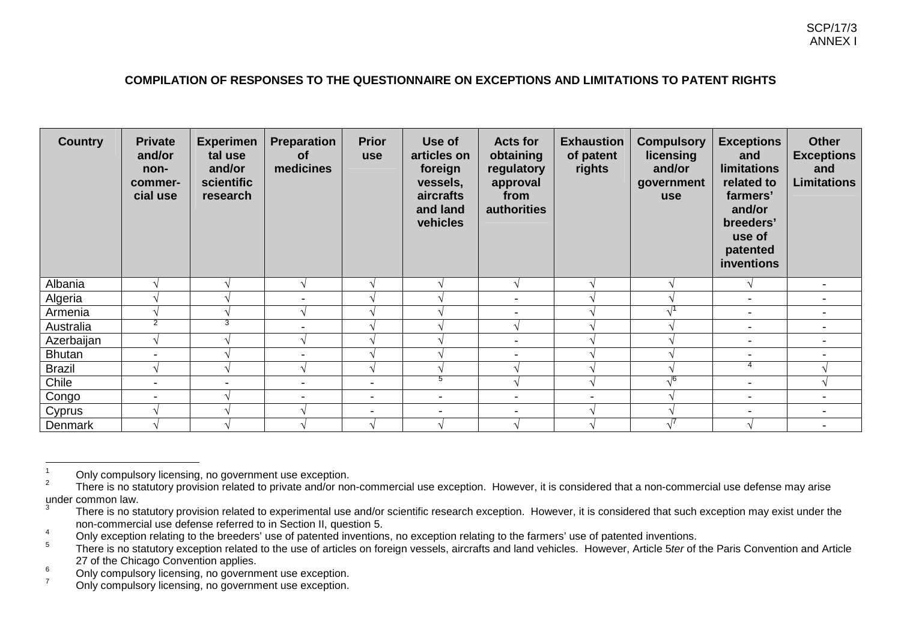## **COMPILATION OF RESPONSES TO THE QUESTIONNAIRE ON EXCEPTIONS AND LIMITATIONS TO PATENT RIGHTS**

| <b>Country</b> | <b>Private</b><br>and/or<br>non-<br>commer-<br>cial use | <b>Experimen</b><br>tal use<br>and/or<br>scientific<br>research | Preparation<br><b>of</b><br>medicines | <b>Prior</b><br><b>use</b> | Use of<br>articles on<br>foreign<br>vessels,<br>aircrafts<br>and land<br>vehicles | <b>Acts for</b><br>obtaining<br>regulatory<br>approval<br>from<br>authorities | <b>Exhaustion</b><br>of patent<br>rights | <b>Compulsory</b><br>licensing<br>and/or<br>government<br><b>use</b> | <b>Exceptions</b><br>and<br><b>limitations</b><br>related to<br>farmers'<br>and/or<br>breeders'<br>use of<br>patented<br>inventions | <b>Other</b><br><b>Exceptions</b><br>and<br><b>Limitations</b> |
|----------------|---------------------------------------------------------|-----------------------------------------------------------------|---------------------------------------|----------------------------|-----------------------------------------------------------------------------------|-------------------------------------------------------------------------------|------------------------------------------|----------------------------------------------------------------------|-------------------------------------------------------------------------------------------------------------------------------------|----------------------------------------------------------------|
| Albania        |                                                         |                                                                 |                                       |                            |                                                                                   | ان                                                                            |                                          |                                                                      |                                                                                                                                     | $\overline{\phantom{a}}$                                       |
| Algeria        |                                                         |                                                                 |                                       |                            |                                                                                   | $\overline{\phantom{a}}$                                                      |                                          |                                                                      | $\blacksquare$                                                                                                                      | $\overline{\phantom{a}}$                                       |
| Armenia        |                                                         |                                                                 |                                       |                            |                                                                                   |                                                                               |                                          | $\sqrt{1}$                                                           | $\overline{\phantom{a}}$                                                                                                            |                                                                |
| Australia      | 2                                                       | з                                                               |                                       |                            |                                                                                   |                                                                               |                                          |                                                                      | $\overline{\phantom{a}}$                                                                                                            |                                                                |
| Azerbaijan     | V                                                       |                                                                 |                                       |                            |                                                                                   | $\overline{\phantom{a}}$                                                      |                                          |                                                                      | $\overline{\phantom{a}}$                                                                                                            |                                                                |
| <b>Bhutan</b>  | $\blacksquare$                                          |                                                                 |                                       |                            |                                                                                   | $\overline{\phantom{a}}$                                                      |                                          |                                                                      | $\overline{\phantom{a}}$                                                                                                            |                                                                |
| <b>Brazil</b>  | V                                                       |                                                                 |                                       | $\mathcal{N}$              |                                                                                   |                                                                               |                                          |                                                                      | 4                                                                                                                                   |                                                                |
| Chile          | $\blacksquare$                                          | -                                                               |                                       | $\blacksquare$             | 5                                                                                 |                                                                               |                                          | $\sqrt{6}$                                                           | $\overline{\phantom{a}}$                                                                                                            |                                                                |
| Congo          | $\overline{\phantom{a}}$                                |                                                                 |                                       | $\blacksquare$             | $\overline{\phantom{a}}$                                                          | $\overline{\phantom{a}}$                                                      | -                                        |                                                                      | $\overline{\phantom{a}}$                                                                                                            |                                                                |
| Cyprus         |                                                         |                                                                 |                                       | $\overline{\phantom{0}}$   | ۰                                                                                 |                                                                               |                                          |                                                                      | $\overline{\phantom{0}}$                                                                                                            | $\overline{\phantom{0}}$                                       |
| Denmark        |                                                         |                                                                 |                                       |                            |                                                                                   |                                                                               |                                          |                                                                      |                                                                                                                                     | $\blacksquare$                                                 |

<sup>1</sup> $\frac{1}{2}$  Only compulsory licensing, no government use exception.

 $^\circ$  There is no statutory provision related to private and/or non-commercial use exception. However, it is considered that a non-commercial use defense may arise under common law.

<sup>3</sup> $\degree$  There is no statutory provision related to experimental use and/or scientific research exception. However, it is considered that such exception may exist under the non-commercial use defense referred to in Section II, question 5.

<sup>&</sup>lt;sup>4</sup> Only exception relating to the breeders' use of patented inventions, no exception relating to the farmers' use of patented inventions.<br>There is no etatute usy conting related to the use of orticles on fareign vegacle,

 $^\circ$  There is no statutory exception related to the use of articles on foreign vessels, aircrafts and land vehicles. However, Article 5*ter* of the Paris Convention and Article 27 of the Chicago Convention applies.

 $\frac{6}{7}$  Only compulsory licensing, no government use exception.

Only compulsory licensing, no government use exception.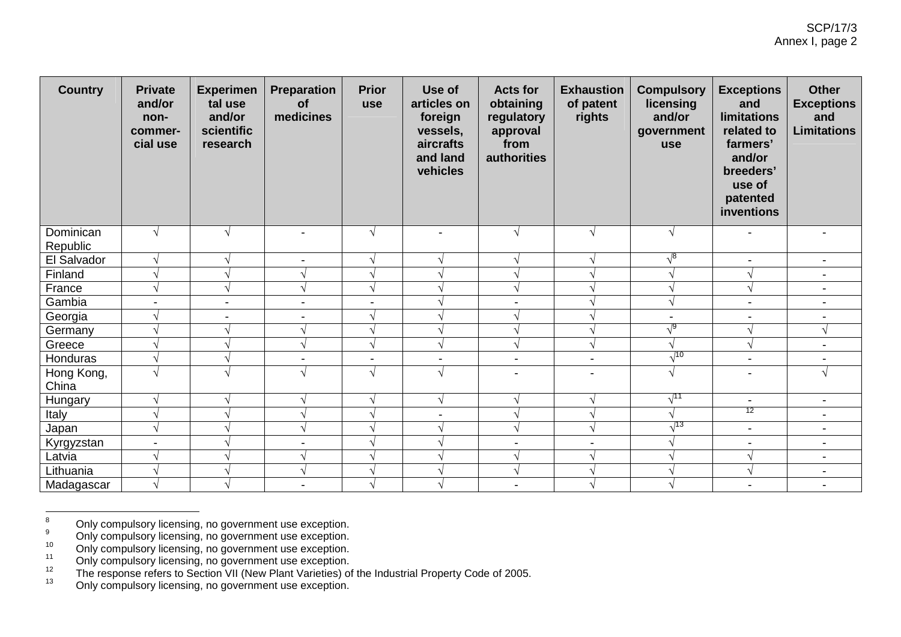| <b>Country</b>        | <b>Private</b><br>and/or<br>non-<br>commer-<br>cial use | <b>Experimen</b><br>tal use<br>and/or<br>scientific<br>research | Preparation<br><b>of</b><br>medicines | <b>Prior</b><br>use | Use of<br>articles on<br>foreign<br>vessels,<br>aircrafts<br>and land<br>vehicles | <b>Acts for</b><br>obtaining<br>regulatory<br>approval<br>from<br>authorities | <b>Exhaustion</b><br>of patent<br>rights | <b>Compulsory</b><br>licensing<br>and/or<br>government<br>use | <b>Exceptions</b><br>and<br><b>limitations</b><br>related to<br>farmers'<br>and/or<br>breeders'<br>use of<br>patented<br>inventions | <b>Other</b><br><b>Exceptions</b><br>and<br><b>Limitations</b> |
|-----------------------|---------------------------------------------------------|-----------------------------------------------------------------|---------------------------------------|---------------------|-----------------------------------------------------------------------------------|-------------------------------------------------------------------------------|------------------------------------------|---------------------------------------------------------------|-------------------------------------------------------------------------------------------------------------------------------------|----------------------------------------------------------------|
| Dominican<br>Republic | $\sqrt{ }$                                              |                                                                 | $\overline{\phantom{a}}$              | $\sqrt{ }$          | $\blacksquare$                                                                    | N                                                                             | $\sqrt{}$                                | $\sqrt{ }$                                                    |                                                                                                                                     |                                                                |
| El Salvador           | $\sqrt{}$                                               |                                                                 | $\blacksquare$                        | $\sqrt{ }$          | V                                                                                 |                                                                               | $\sqrt{ }$                               | $\sqrt{8}$                                                    |                                                                                                                                     | $\blacksquare$                                                 |
| Finland               | $\sqrt{ }$                                              |                                                                 |                                       | $\sqrt{ }$          | V                                                                                 |                                                                               | V                                        |                                                               | $\mathcal{N}$                                                                                                                       | $\overline{\phantom{a}}$                                       |
| France                | $\sqrt{ }$                                              |                                                                 |                                       | $\sqrt{ }$          | $\sqrt{}$                                                                         |                                                                               | V                                        |                                                               | $\mathcal{N}$                                                                                                                       | $\overline{a}$                                                 |
| Gambia                | $\blacksquare$                                          | $\overline{\phantom{a}}$                                        | $\blacksquare$                        | $\blacksquare$      | $\sqrt{ }$                                                                        | $\blacksquare$                                                                | V                                        | $\sqrt{ }$                                                    | $\blacksquare$                                                                                                                      | $\blacksquare$                                                 |
| Georgia               | $\sqrt{ }$                                              | $\blacksquare$                                                  | $\blacksquare$                        | $\sqrt{ }$          | $\sqrt{ }$                                                                        |                                                                               | $\sqrt{ }$                               | $\blacksquare$                                                |                                                                                                                                     |                                                                |
| Germany               | $\sqrt{ }$                                              |                                                                 |                                       | $\sqrt{ }$          | $\sqrt{ }$                                                                        |                                                                               | $\sqrt{}$                                | $\sqrt{9}$                                                    | $\mathcal{N}$                                                                                                                       | $\sqrt{}$                                                      |
| Greece                | $\sqrt{ }$                                              |                                                                 |                                       | $\sqrt{}$           | $\sqrt{}$                                                                         |                                                                               | $\sqrt{}$                                | $\sqrt{ }$                                                    | $\sqrt{ }$                                                                                                                          | $\blacksquare$                                                 |
| Honduras              | $\sqrt{ }$                                              |                                                                 | $\blacksquare$                        | $\blacksquare$      | $\blacksquare$                                                                    | $\blacksquare$                                                                | $\blacksquare$                           | $\sqrt{10}$                                                   | $\overline{\phantom{a}}$                                                                                                            | $\blacksquare$                                                 |
| Hong Kong,<br>China   | $\sqrt{ }$                                              |                                                                 |                                       | $\sqrt{ }$          | $\sqrt{ }$                                                                        | $\blacksquare$                                                                | $\overline{\phantom{a}}$                 | $\sqrt{ }$                                                    |                                                                                                                                     | $\sqrt{}$                                                      |
| <b>Hungary</b>        | $\sqrt{ }$                                              |                                                                 |                                       | $\sqrt{ }$          | $\sqrt{}$                                                                         |                                                                               | $\sqrt{ }$                               | $\sqrt{11}$                                                   | $\overline{\phantom{a}}$                                                                                                            | $\blacksquare$                                                 |
| Italy                 | $\sqrt{ }$                                              |                                                                 |                                       | $\sqrt{}$           | $\blacksquare$                                                                    |                                                                               | $\sqrt{}$                                |                                                               | 12                                                                                                                                  | $\blacksquare$                                                 |
| Japan                 | $\sqrt{}$                                               |                                                                 |                                       | $\sqrt{ }$          | $\sqrt{ }$                                                                        |                                                                               | $\sqrt{ }$                               | $\sqrt{^{13}}$                                                | $\overline{\phantom{a}}$                                                                                                            | $\overline{\phantom{a}}$                                       |
| Kyrgyzstan            | $\blacksquare$                                          |                                                                 |                                       | $\sqrt{ }$          | $\sqrt{ }$                                                                        | $\blacksquare$                                                                | $\blacksquare$                           |                                                               | $\overline{\phantom{a}}$                                                                                                            | $\blacksquare$                                                 |
| Latvia                | $\sqrt{ }$                                              |                                                                 |                                       | $\sqrt{ }$          | $\sqrt{ }$                                                                        |                                                                               | $\sqrt{ }$                               |                                                               | $\mathcal{N}$                                                                                                                       | $\overline{\phantom{a}}$                                       |
| Lithuania             | V                                                       |                                                                 |                                       | $\sqrt{ }$          | V                                                                                 |                                                                               | V                                        |                                                               | $\mathcal{N}$                                                                                                                       | $\blacksquare$                                                 |
| Madagascar            | $\sqrt{ }$                                              |                                                                 | $\blacksquare$                        | $\sqrt{ }$          |                                                                                   | $\overline{\phantom{a}}$                                                      | $\sqrt{}$                                |                                                               | $\blacksquare$                                                                                                                      | $\overline{\phantom{a}}$                                       |

<sup>8</sup><sup>o</sup> Only compulsory licensing, no government use exception.

 $\degree$  Only compulsory licensing, no government use exception.

<sup>&</sup>lt;sup>10</sup> Only compulsory licensing, no government use exception.<br>
<sup>11</sup> Only compulsory licensing, no government use exception.

Only compulsory licensing, no government use exception.<br>
<sup>12</sup> The response refers to Section VII (New Plant Varieties) of the Industrial Property Code of 2005.<br>
<sup>13</sup> Caluse response the response as a property to a conserti

<sup>&</sup>lt;sup>13</sup> Only compulsory licensing, no government use exception.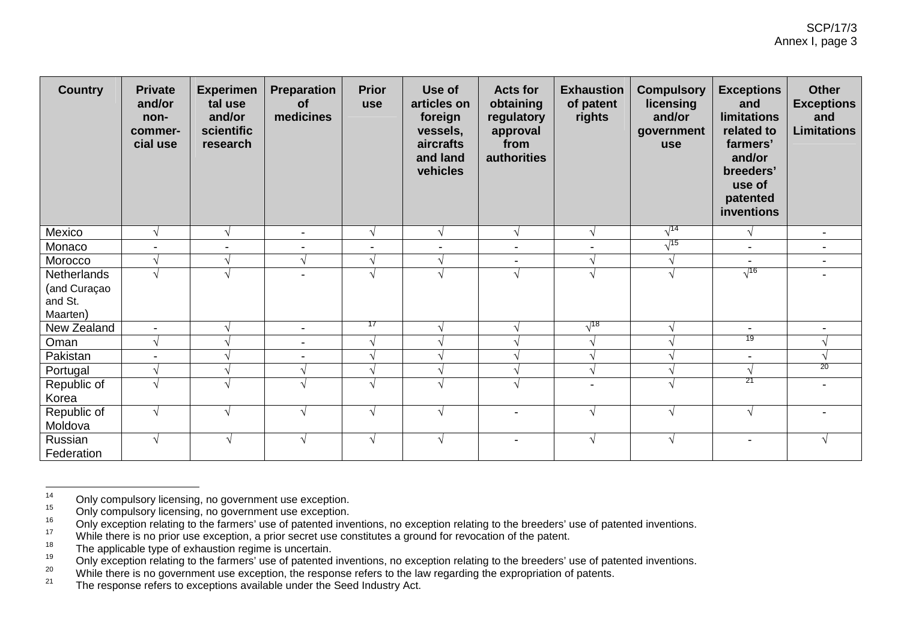| <b>Country</b> | <b>Private</b><br>and/or<br>non-<br>commer-<br>cial use | <b>Experimen</b><br>tal use<br>and/or<br>scientific<br>research | <b>Preparation</b><br><b>of</b><br>medicines | <b>Prior</b><br>use      | Use of<br>articles on<br>foreign<br>vessels,<br>aircrafts<br>and land<br>vehicles | <b>Acts for</b><br>obtaining<br>regulatory<br>approval<br>from<br>authorities | <b>Exhaustion</b><br>of patent<br>rights | <b>Compulsory</b><br>licensing<br>and/or<br>government<br><b>use</b> | <b>Exceptions</b><br>and<br><b>limitations</b><br>related to<br>farmers'<br>and/or<br>breeders'<br>use of<br>patented<br>inventions | <b>Other</b><br><b>Exceptions</b><br>and<br><b>Limitations</b> |
|----------------|---------------------------------------------------------|-----------------------------------------------------------------|----------------------------------------------|--------------------------|-----------------------------------------------------------------------------------|-------------------------------------------------------------------------------|------------------------------------------|----------------------------------------------------------------------|-------------------------------------------------------------------------------------------------------------------------------------|----------------------------------------------------------------|
| Mexico         | $\mathcal{A}$                                           |                                                                 | $\blacksquare$                               | V                        | $\sqrt{ }$                                                                        |                                                                               | N                                        | $\sqrt{14}$                                                          | $\sqrt{ }$                                                                                                                          | $\overline{\phantom{a}}$                                       |
| Monaco         | $\blacksquare$                                          |                                                                 | Ξ.                                           | $\overline{\phantom{a}}$ | $\blacksquare$                                                                    | -                                                                             | $\blacksquare$                           | $\sqrt{15}$                                                          | $\overline{\phantom{a}}$                                                                                                            | $\blacksquare$                                                 |
| Morocco        | $\sqrt{ }$                                              |                                                                 | $\sqrt{ }$                                   | V                        | $\sqrt{ }$                                                                        |                                                                               | N                                        |                                                                      | $\blacksquare$                                                                                                                      | $\overline{\phantom{a}}$                                       |
| Netherlands    | $\overline{\mathcal{N}}$                                |                                                                 | ۰.                                           | $\sim$                   | $\sqrt{ }$                                                                        |                                                                               |                                          | $\sqrt{ }$                                                           | $\sqrt{16}$                                                                                                                         | ÷                                                              |
| (and Curaçao   |                                                         |                                                                 |                                              |                          |                                                                                   |                                                                               |                                          |                                                                      |                                                                                                                                     |                                                                |
| and St.        |                                                         |                                                                 |                                              |                          |                                                                                   |                                                                               |                                          |                                                                      |                                                                                                                                     |                                                                |
| Maarten)       |                                                         |                                                                 |                                              | 17                       |                                                                                   |                                                                               |                                          |                                                                      |                                                                                                                                     |                                                                |
| New Zealand    | $\overline{\phantom{a}}$                                |                                                                 | $\blacksquare$                               |                          | V                                                                                 |                                                                               | $\sqrt{^{18}}$                           |                                                                      |                                                                                                                                     |                                                                |
| Oman           | $\sqrt{ }$                                              |                                                                 | $\blacksquare$                               | V                        | $\sqrt{ }$                                                                        |                                                                               | N                                        |                                                                      | 19                                                                                                                                  |                                                                |
| Pakistan       | $\overline{\phantom{a}}$                                |                                                                 | $\blacksquare$                               |                          |                                                                                   |                                                                               |                                          |                                                                      | $\blacksquare$                                                                                                                      |                                                                |
| Portugal       |                                                         |                                                                 |                                              |                          | V                                                                                 |                                                                               |                                          |                                                                      | $\sqrt{ }$                                                                                                                          | 20                                                             |
| Republic of    | $\lambda$                                               |                                                                 |                                              | $\Delta$                 | V                                                                                 |                                                                               |                                          |                                                                      | 21                                                                                                                                  |                                                                |
| Korea          |                                                         |                                                                 |                                              |                          |                                                                                   |                                                                               |                                          |                                                                      |                                                                                                                                     |                                                                |
| Republic of    | $\sqrt{ }$                                              | V                                                               | V                                            | $\sqrt{ }$               | $\sqrt{ }$                                                                        | ۰                                                                             | $\sqrt{}$                                | $\sqrt{ }$                                                           | $\sqrt{ }$                                                                                                                          | -                                                              |
| Moldova        |                                                         |                                                                 |                                              |                          |                                                                                   |                                                                               |                                          |                                                                      |                                                                                                                                     |                                                                |
| Russian        | $\sqrt{ }$                                              | $\sqrt{ }$                                                      | $\sqrt{ }$                                   | $\sqrt{}$                | $\sqrt{ }$                                                                        | $\blacksquare$                                                                | $\sqrt{}$                                | $\sqrt{ }$                                                           | $\blacksquare$                                                                                                                      | $\sqrt{ }$                                                     |
| Federation     |                                                         |                                                                 |                                              |                          |                                                                                   |                                                                               |                                          |                                                                      |                                                                                                                                     |                                                                |

<sup>14</sup><sup>14</sup> Only compulsory licensing, no government use exception.<br><sup>15</sup> Only compulsory licensing, no government use exception.

 $^{15}$  Only compulsory licensing, no government use exception.<br> $^{16}$  Only exception relating to the formers' use of patented in w

<sup>&</sup>lt;sup>16</sup> Only exception relating to the farmers' use of patented inventions, no exception relating to the breeders' use of patented inventions.

While there is no prior use exception, a prior secret use constitutes a ground for revocation of the patent.<br><sup>18</sup>

 $T^{\circ}$  The applicable type of exhaustion regime is uncertain.

Only exception relating to the farmers' use of patential.<br>
<sup>19</sup> Only exception relating to the breeders' use of patented inventions, no exception relating to the breeders' use of patented inventions.<br>
While there is no gov

While there is no government use exception, the response refers to the law regarding the expropriation of patents.<br>21 The acceptors refers to acceptions available wader the Read lady trade at

The response refers to exceptions available under the Seed Industry Act.